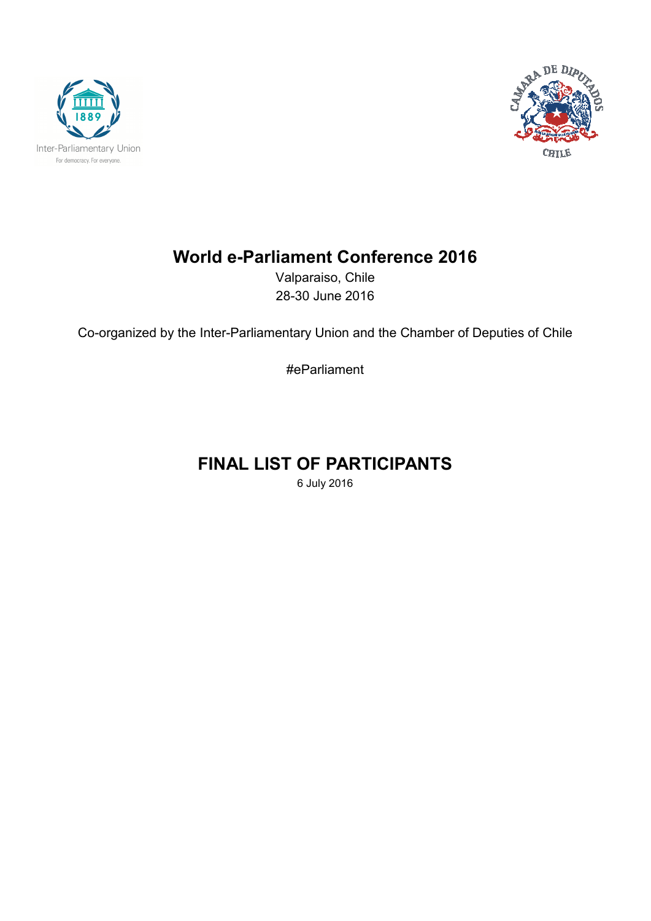



## **World e-Parliament Conference 2016**

Valparaiso, Chile 28-30 June 2016

Co-organized by the Inter-Parliamentary Union and the Chamber of Deputies of Chile

#eParliament

# **FINAL LIST OF PARTICIPANTS**

6 July 2016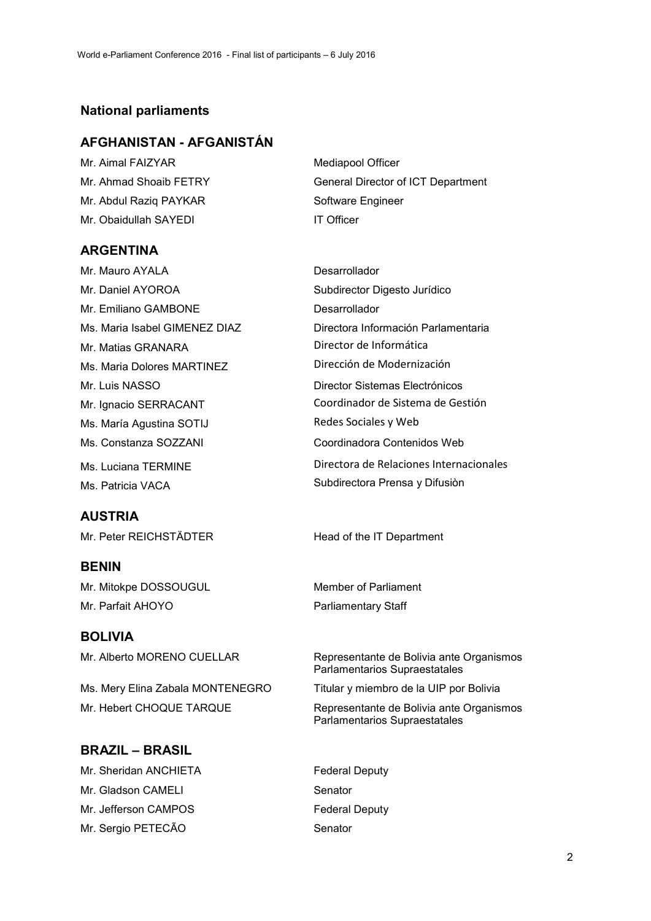#### **National parliaments**

#### **AFGHANISTAN - AFGANISTÁN**

Mr. Aimal FAIZYAR Mediapool Officer Mr. Abdul Raziq PAYKAR Software Engineer Mr. Obaidullah SAYEDI IT Officer

Mr. Ahmad Shoaib FETRY General Director of ICT Department

#### **ARGENTINA**

Mr. Mauro AYALA **Desarrollador** Mr. Daniel AYOROA Subdirector Digesto Jurídico Mr. Emiliano GAMBONE Desarrollador Mr. Matias GRANARA Director de Informática Ms. Maria Dolores MARTINEZ Dirección de Modernización Mr. Luis NASSO **Director Sistemas Electrónicos** Ms. María Agustina SOTIJ Redes Sociales y Web Ms. Constanza SOZZANI Coordinadora Contenidos Web Ms. Patricia VACA Subdirectora Prensa y Difusiòn

#### **AUSTRIA**

Mr. Peter REICHSTÄDTER Head of the IT Department

#### **BENIN**

Mr. Mitokpe DOSSOUGUL Member of Parliament Mr. Parfait AHOYO **Parliamentary Staff** 

#### **BOLIVIA**

Mr. Hebert CHOQUE TARQUE Representante de Bolivia ante Organismos

#### **BRAZIL – BRASIL**

Mr. Sheridan ANCHIETA Federal Deputy Mr. Gladson CAMELI Senator Mr. Jefferson CAMPOS Federal Deputy Mr. Sergio PETECÃO Senator

Ms. Maria Isabel GIMENEZ DIAZ Directora Información Parlamentaria Mr. Ignacio SERRACANT Coordinador de Sistema de Gestión Ms. Luciana TERMINE Directora de Relaciones Internacionales

Mr. Alberto MORENO CUELLAR Representante de Bolivia ante Organismos Parlamentarios Supraestatales

Ms. Mery Elina Zabala MONTENEGRO Titular y miembro de la UIP por Bolivia

Parlamentarios Supraestatales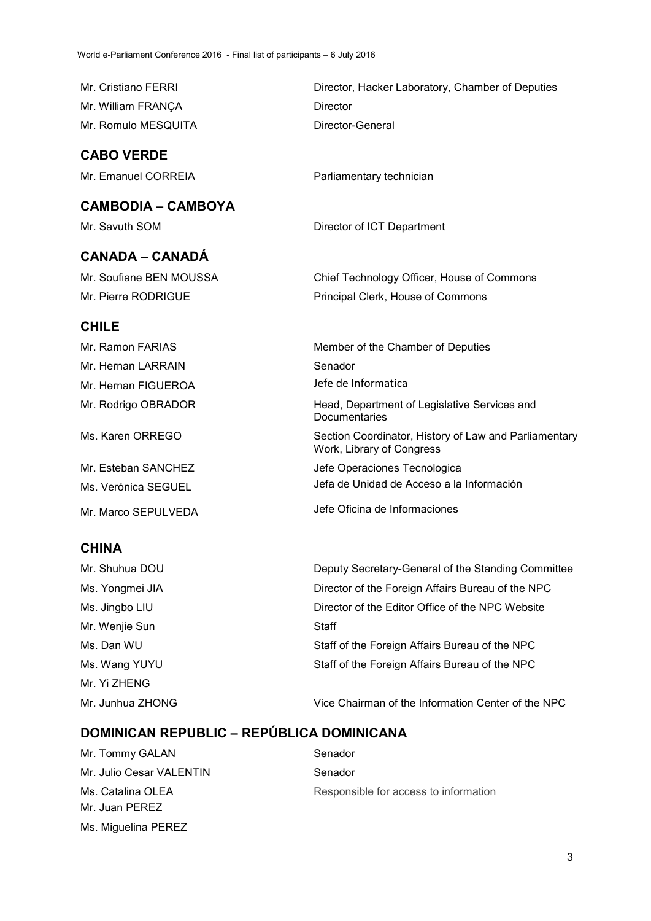Mr. Cristiano FERRI **Director**, Hacker Laboratory, Chamber of Deputies Mr. William FRANÇA Director Mr. Romulo MESQUITA Director-General

## **CABO VERDE**

Mr. Emanuel CORREIA Parliamentary technician

**CAMBODIA – CAMBOYA** 

Mr. Savuth SOM **Director of ICT Department** 

## **CANADA – CANADÁ**

Mr. Soufiane BEN MOUSSA Chief Technology Officer, House of Commons Mr. Pierre RODRIGUE Principal Clerk, House of Commons

#### **CHILE**

Mr. Ramon FARIAS Member of the Chamber of Deputies Mr. Hernan LARRAIN Senador Mr. Hernan FIGUEROA Jefe de Informatica Mr. Rodrigo OBRADOR Head, Department of Legislative Services and **Documentaries** Ms. Karen ORREGO Section Coordinator, History of Law and Parliamentary Work, Library of Congress Mr. Esteban SANCHEZ **Jefe Operaciones Tecnologica** Ms. Verónica SEGUEL **Jefa de Unidad de Acceso a la Información** Mr. Marco SEPULVEDA Jefe Oficina de Informaciones

#### **CHINA**

Mr. Shuhua DOU **Deputy Secretary-General of the Standing Committee** Ms. Yongmei JIA Director of the Foreign Affairs Bureau of the NPC Ms. Jingbo LIU **Director of the Editor Office of the NPC Website** Mr. Wenjie Sun Staff Ms. Dan WU Staff of the Foreign Affairs Bureau of the NPC Ms. Wang YUYU Staff of the Foreign Affairs Bureau of the NPC Mr. Yi ZHENG Mr. Junhua ZHONG Vice Chairman of the Information Center of the NPC

## **DOMINICAN REPUBLIC – REPÚBLICA DOMINICANA**

Mr. Tommy GALAN Senador Mr. Julio Cesar VALENTIN Senador Ms. Catalina OLEA **Responsible for access to information** Mr. Juan PEREZ Ms. Miguelina PEREZ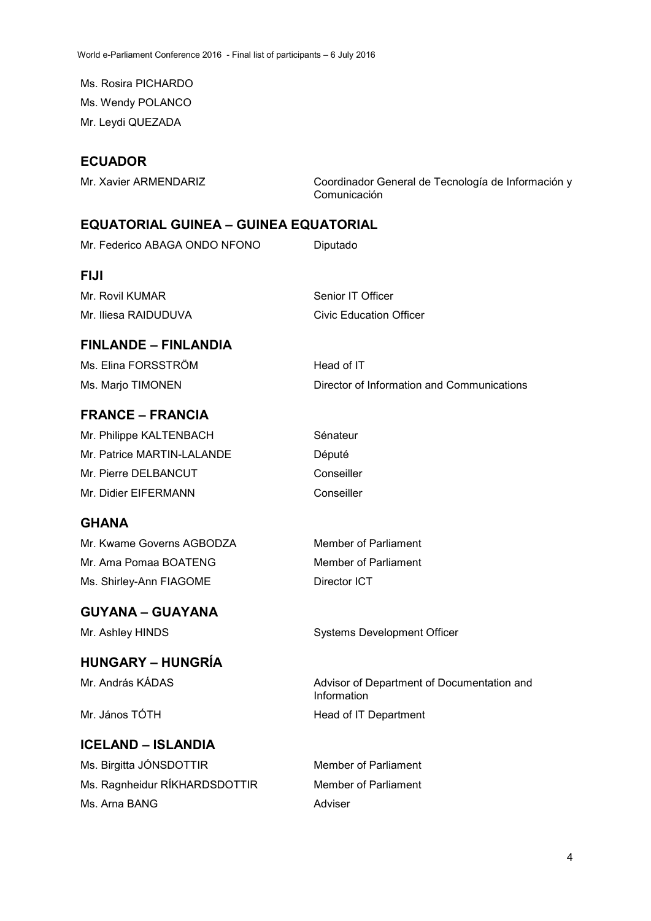Ms. Rosira PICHARDO Ms. Wendy POLANCO Mr. Leydi QUEZADA

## **ECUADOR**

Mr. Xavier ARMENDARIZ Coordinador General de Tecnología de Información y Comunicación

## **EQUATORIAL GUINEA – GUINEA EQUATORIAL**

| Mr. Federico ABAGA ONDO NFONO | Diputado                                                  |
|-------------------------------|-----------------------------------------------------------|
| <b>FIJI</b>                   |                                                           |
| Mr. Rovil KUMAR               | Senior IT Officer                                         |
| Mr. Iliesa RAIDUDUVA          | <b>Civic Education Officer</b>                            |
| <b>FINLANDE - FINLANDIA</b>   |                                                           |
| Ms. Elina FORSSTRÖM           | Head of IT                                                |
| Ms. Marjo TIMONEN             | Director of Information and Communications                |
| <b>FRANCE – FRANCIA</b>       |                                                           |
| Mr. Philippe KALTENBACH       | Sénateur                                                  |
| Mr. Patrice MARTIN-LALANDE    | Député                                                    |
| Mr. Pierre DELBANCUT          | Conseiller                                                |
| Mr. Didier EIFERMANN          | Conseiller                                                |
| <b>GHANA</b>                  |                                                           |
| Mr. Kwame Governs AGBODZA     | <b>Member of Parliament</b>                               |
| Mr. Ama Pomaa BOATENG         | <b>Member of Parliament</b>                               |
| Ms. Shirley-Ann FIAGOME       | Director ICT                                              |
| <b>GUYANA - GUAYANA</b>       |                                                           |
| Mr. Ashley HINDS              | <b>Systems Development Officer</b>                        |
| <b>HUNGARY – HUNGRÍA</b>      |                                                           |
| Mr. András KÁDAS              | Advisor of Department of Documentation and<br>Information |
| Mr. János TÓTH                | Head of IT Department                                     |
| <b>ICELAND - ISLANDIA</b>     |                                                           |
| Ms. Birgitta JÓNSDOTTIR       | <b>Member of Parliament</b>                               |
| Ms. Ragnheidur RÍKHARDSDOTTIR | <b>Member of Parliament</b>                               |
| Ms. Arna BANG                 | Adviser                                                   |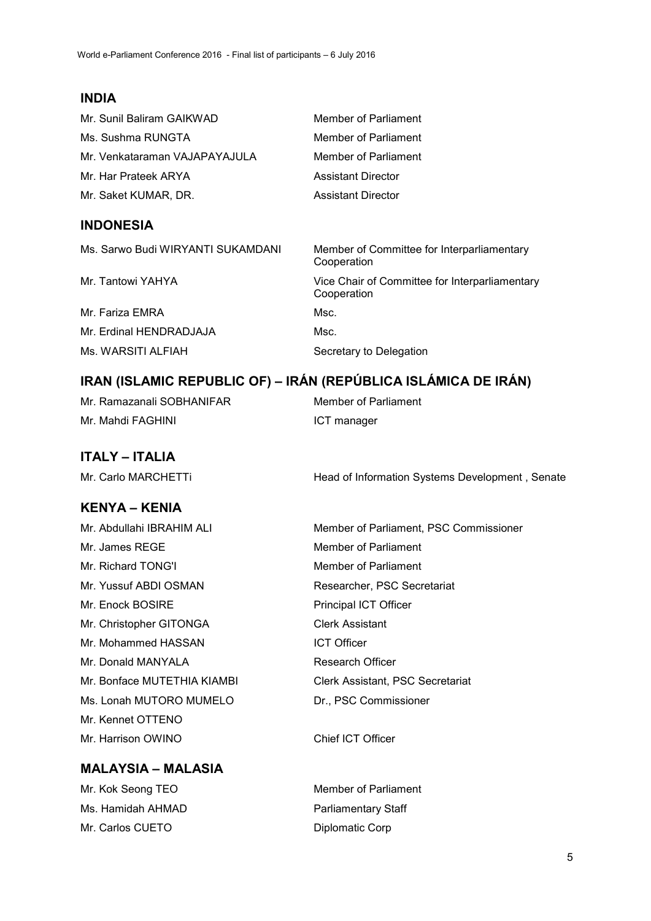## **INDIA**

| Mr. Sunil Baliram GAIKWAD     | Member of Parliament |
|-------------------------------|----------------------|
| Ms. Sushma RUNGTA             | Member of Parliament |
| Mr. Venkataraman VAJAPAYAJULA | Member of Parliament |
| Mr. Har Prateek ARYA          | Assistant Director   |
| Mr. Saket KUMAR, DR.          | Assistant Director   |
|                               |                      |

#### **INDONESIA**

| Ms. Sarwo Budi WIRYANTI SUKAMDANI | Member of Committee for Interparliamentary<br>Cooperation     |
|-----------------------------------|---------------------------------------------------------------|
| Mr. Tantowi YAHYA                 | Vice Chair of Committee for Interparliamentary<br>Cooperation |
| Mr. Fariza EMRA                   | Msc.                                                          |
| Mr. Erdinal HENDRADJAJA           | Msc.                                                          |
| Ms. WARSITI ALFIAH                | Secretary to Delegation                                       |

## **IRAN (ISLAMIC REPUBLIC OF) – IRÁN (REPÚBLICA ISLÁMICA DE IRÁN)**

Mr. Ramazanali SOBHANIFAR Member of Parliament Mr. Mahdi FAGHINI **ICT** manager

## **ITALY – ITALIA**

Mr. Carlo MARCHETTi **Head of Information Systems Development** , Senate

## **KENYA – KENIA**

Mr. Abdullahi IBRAHIM ALI Member of Parliament, PSC Commissioner Mr. James RFGF Member of Parliament Mr. Richard TONG'I Member of Parliament Mr. Yussuf ABDI OSMAN Researcher, PSC Secretariat Mr. Enock BOSIRE Principal ICT Officer Mr. Christopher GITONGA Clerk Assistant Mr. Mohammed HASSAN ICT Officer Mr. Donald MANYALA Research Officer Ms. Lonah MUTORO MUMELO Dr., PSC Commissioner Mr. Kennet OTTENO Mr. Harrison OWINO Chief ICT Officer

Mr. Bonface MUTETHIA KIAMBI Clerk Assistant, PSC Secretariat

## **MALAYSIA – MALASIA**

Mr. Kok Seong TEO Member of Parliament Ms. Hamidah AHMAD Parliamentary Staff Mr. Carlos CUETO Diplomatic Corp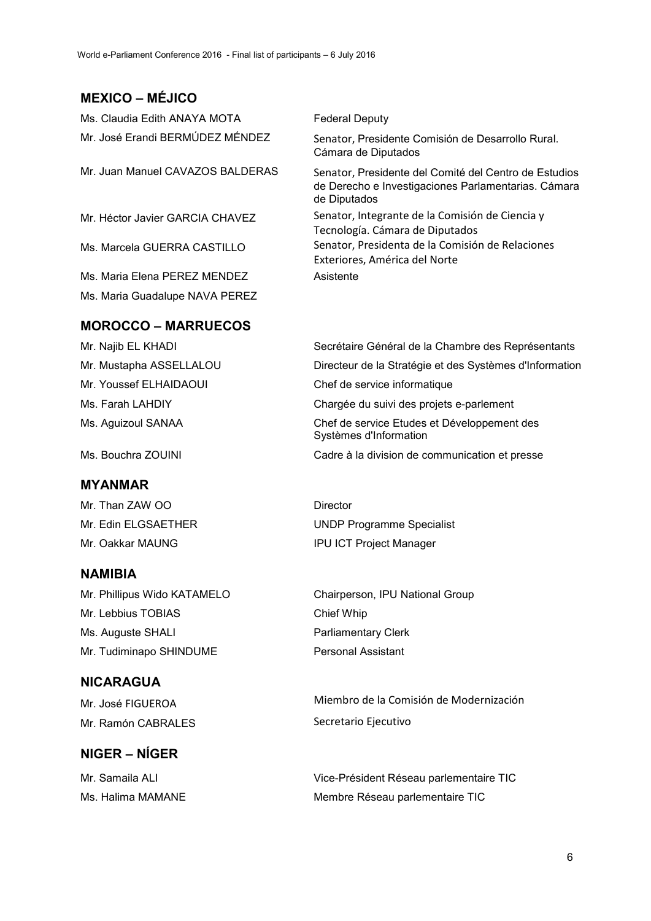## **MEXICO – MÉJICO**

Ms. Claudia Edith ANAYA MOTA Federal Deputy Mr. José Erandi BERMÚDEZ MÉNDEZ Senator, Presidente Comisión de Desarrollo Rural. Cámara de Diputados Mr. Juan Manuel CAVAZOS BALDERAS Senator, Presidente del Comité del Centro de Estudios de Derecho e Investigaciones Parlamentarias. Cámara de Diputados Mr. Héctor Javier GARCIA CHAVEZ Senator, Integrante de la Comisión de Ciencia y Tecnología. Cámara de Diputados Ms. Marcela GUERRA CASTILLO Senator, Presidenta de la Comisión de Relaciones Exteriores, América del Norte Ms. Maria Elena PEREZ MENDEZ Asistente Ms. Maria Guadalupe NAVA PEREZ

#### **MOROCCO – MARRUECOS**

#### **MYANMAR**

Mr. Than ZAW OO Director

#### **NAMIBIA**

Mr. Phillipus Wido KATAMELO Chairperson, IPU National Group Mr. Lebbius TOBIAS Chief Whip Ms. Auguste SHALI Parliamentary Clerk Mr. Tudiminapo SHINDUME Personal Assistant

#### **NICARAGUA**

Mr. Ramón CABRALES Secretario Ejecutivo

## **NIGER – NÍGER**

Mr. Najib EL KHADI Secrétaire Général de la Chambre des Représentants Mr. Mustapha ASSELLALOU Directeur de la Stratégie et des Systèmes d'Information Mr. Youssef ELHAIDAOUI Chef de service informatique Ms. Farah LAHDIY Chargée du suivi des projets e-parlement Ms. Aguizoul SANAA Chef de service Etudes et Développement des Systèmes d'Information Ms. Bouchra ZOUINI Cadre à la division de communication et presse

Mr. Edin ELGSAETHER UNDP Programme Specialist Mr. Oakkar MAUNG **IPU ICT Project Manager** 

Mr. José FIGUEROA Miembro de la Comisión de Modernización

Mr. Samaila ALI **Vice-Président Réseau parlementaire TIC** Ms. Halima MAMANE Membre Réseau parlementaire TIC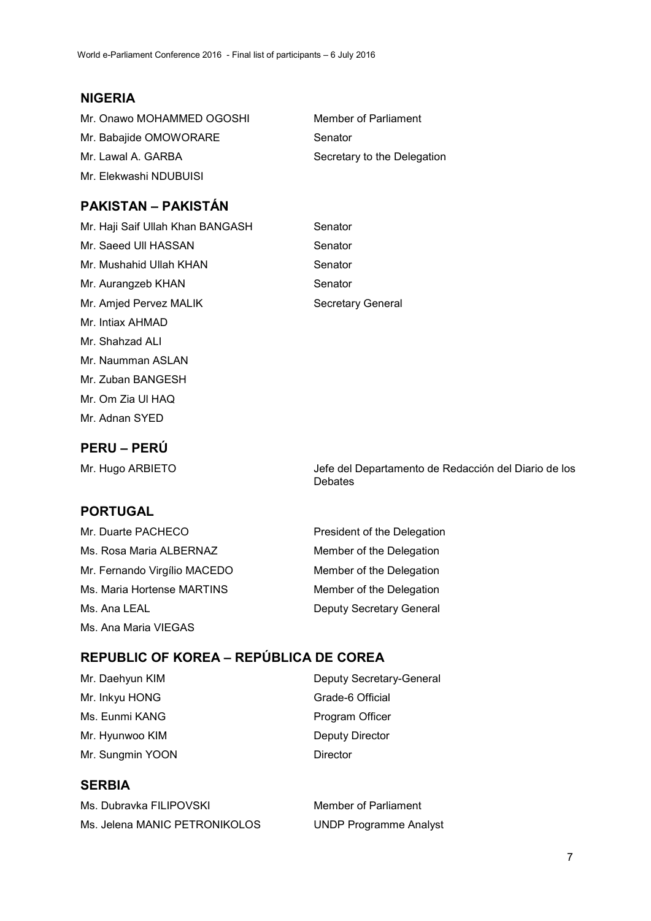## **NIGERIA**

| Mr. Onawo MOHAMMED OGOSHI | Member of Parliament        |
|---------------------------|-----------------------------|
| Mr. Babajide OMOWORARE    | Senator                     |
| Mr. Lawal A. GARBA        | Secretary to the Delegation |
| Mr. Elekwashi NDUBUISI    |                             |

## **PAKISTAN – PAKISTÁN**

| Mr. Haji Saif Ullah Khan BANGASH | Senator           |
|----------------------------------|-------------------|
| Mr. Saeed Ull HASSAN             | Senator           |
| Mr. Mushahid Ullah KHAN          | Senator           |
| Mr. Aurangzeb KHAN               | Senator           |
| Mr. Amjed Pervez MALIK           | Secretary General |
| Mr. Intiax AHMAD                 |                   |
| Mr. Shahzad ALI                  |                   |

## **PERU – PERÚ**

Mr. Naumman ASLAN Mr. Zuban BANGESH Mr. Om Zia Ul HAQ Mr. Adnan SYED

Mr. Hugo ARBIETO Jefe del Departamento de Redacción del Diario de los

#### **PORTUGAL**

| Mr. Duarte PACHECO           | President of the Delegation     |
|------------------------------|---------------------------------|
| Ms. Rosa Maria ALBERNAZ      | Member of the Delegation        |
| Mr. Fernando Virgílio MACEDO | Member of the Delegation        |
| Ms. Maria Hortense MARTINS   | Member of the Delegation        |
| Ms. Ana LEAL                 | <b>Deputy Secretary General</b> |
| Ms. Ana Maria VIEGAS         |                                 |

Debates

## **REPUBLIC OF KOREA – REPÚBLICA DE COREA**

| Mr. Daehyun KIM  | Deputy Secretary-General |
|------------------|--------------------------|
| Mr. Inkyu HONG   | Grade-6 Official         |
| Ms. Eunmi KANG   | Program Officer          |
| Mr. Hyunwoo KIM  | <b>Deputy Director</b>   |
| Mr. Sungmin YOON | Director                 |
|                  |                          |

## **SERBIA**

| Ms. Dubravka FILIPOVSKI       |  |
|-------------------------------|--|
| Ms. Jelena MANIC PETRONIKOLOS |  |

Member of Parliament **UNDP Programme Analyst**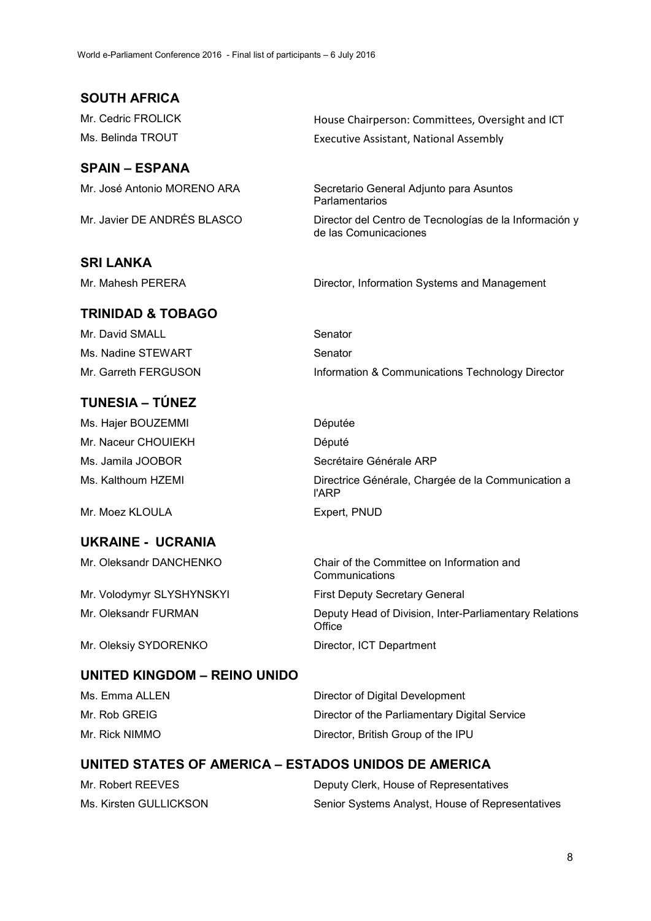**SOUTH AFRICA** 

#### **SPAIN – ESPANA**

#### **SRI LANKA**

#### **TRINIDAD & TOBAGO**

Mr. David SMALL Senator Ms. Nadine STEWART Senator

## **TUNESIA – TÚNEZ**

Ms. Hajer BOUZEMMI Députée Mr. Naceur CHOUIEKH Député Ms. Jamila JOOBOR Secrétaire Générale ARP

Mr. Moez KLOULA Expert, PNUD

#### **UKRAINE - UCRANIA**

Mr. Volodymyr SLYSHYNSKYI First Deputy Secretary General

Mr. Oleksiy SYDORENKO Director, ICT Department

#### **UNITED KINGDOM – REINO UNIDO**

Ms. Emma ALLEN Director of Digital Development Mr. Rob GREIG **Director of the Parliamentary Digital Service** Mr. Rick NIMMO **Director**, British Group of the IPU

#### **UNITED STATES OF AMERICA – ESTADOS UNIDOS DE AMERICA**

| Mr. Robert REEVES      | Deputy Clerk, House of Representatives           |
|------------------------|--------------------------------------------------|
| Ms. Kirsten GULLICKSON | Senior Systems Analyst, House of Representatives |

Mr. Cedric FROLICK House Chairperson: Committees, Oversight and ICT Ms. Belinda TROUT **Executive Assistant, National Assembly** 

Mr. José Antonio MORENO ARA Secretario General Adjunto para Asuntos Parlamentarios

Mr. Javier DE ANDRÉS BLASCO Director del Centro de Tecnologías de la Información y de las Comunicaciones

Mr. Mahesh PERERA Director, Information Systems and Management

Mr. Garreth FERGUSON Information & Communications Technology Director

Ms. Kalthoum HZEMI Directrice Générale, Chargée de la Communication a

l'ARP

Mr. Oleksandr DANCHENKO Chair of the Committee on Information and **Communications** 

Mr. Oleksandr FURMAN Deputy Head of Division, Inter-Parliamentary Relations **Office**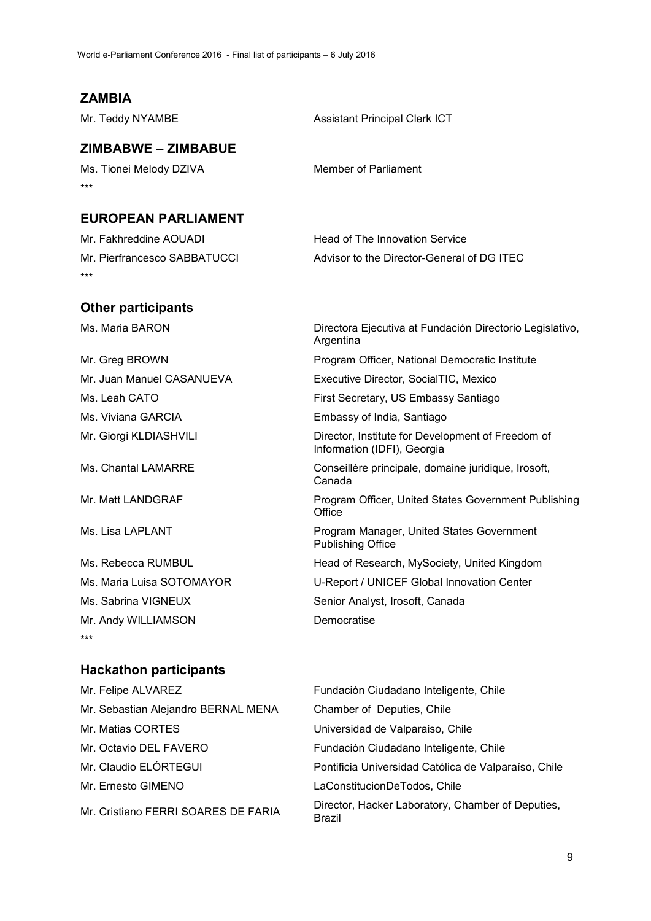#### **ZAMBIA**

Mr. Teddy NYAMBE Assistant Principal Clerk ICT

## **ZIMBABWE – ZIMBABUE**

Ms. Tionei Melody DZIVA Member of Parliament \*\*\*

#### **EUROPEAN PARLIAMENT**

| Mr. Fakhreddine AOUADI       | Head of The Innovation Service             |
|------------------------------|--------------------------------------------|
| Mr. Pierfrancesco SABBATUCCI | Advisor to the Director-General of DG ITEC |
| ***                          |                                            |

#### **Other participants**

Ms. Viviana GARCIA Embassy of India, Santiago

Mr. Andy WILLIAMSON Democratise \*\*\*

# Ms. Sabrina VIGNEUX Senior Analyst, Irosoft, Canada

## **Hackathon participants**

Mr. Felipe ALVAREZ Fundación Ciudadano Inteligente, Chile Mr. Sebastian Alejandro BERNAL MENA Chamber of Deputies, Chile Mr. Matias CORTES Universidad de Valparaiso, Chile Mr. Octavio DEL FAVERO Fundación Ciudadano Inteligente, Chile Mr. Claudio ELÓRTEGUI Pontificia Universidad Católica de Valparaíso, Chile Mr. Ernesto GIMENO LaConstitucionDeTodos, Chile Mr. Cristiano FERRI SOARES DE FARIA Director, Hacker Laboratory, Chamber of Deputies, Brazil

Ms. Maria BARON **Directora Ejecutiva at Fundación Directorio Legislativo**, Argentina Mr. Greg BROWN Program Officer, National Democratic Institute Mr. Juan Manuel CASANUEVA Executive Director, SocialTIC, Mexico Ms. Leah CATO **First Secretary, US Embassy Santiago** First Secretary, US Embassy Santiago Mr. Giorgi KLDIASHVILI Director, Institute for Development of Freedom of Information (IDFI), Georgia Ms. Chantal LAMARRE Conseillère principale, domaine juridique, Irosoft, Canada Mr. Matt LANDGRAF Program Officer, United States Government Publishing **Office** Ms. Lisa LAPLANT **Program Manager, United States Government** Publishing Office Ms. Rebecca RUMBUL **Head of Research, MySociety, United Kingdom** Ms. Maria Luisa SOTOMAYOR U-Report / UNICEF Global Innovation Center